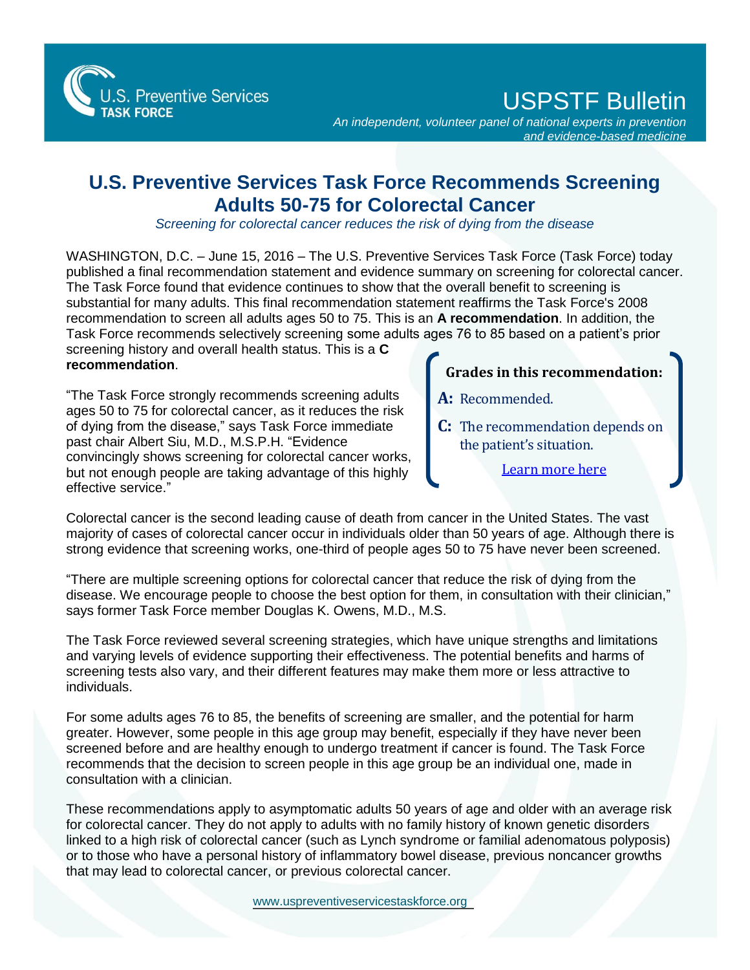S. Preventive Services **TASK FORCE** 

USPSTF Bulletin

*An independent, volunteer panel of national experts in prevention and evidence-based medicine*

## **U.S. Preventive Services Task Force Recommends Screening Adults 50-75 for Colorectal Cancer**

*Screening for colorectal cancer reduces the risk of dying from the disease*

WASHINGTON, D.C. – June 15, 2016 – The U.S. Preventive Services Task Force (Task Force) today published a final recommendation statement and evidence summary on screening for colorectal cancer. The Task Force found that evidence continues to show that the overall benefit to screening is substantial for many adults. This final recommendation statement reaffirms the Task Force's 2008 recommendation to screen all adults ages 50 to 75. This is an **A recommendation**. In addition, the Task Force recommends selectively screening some adults ages 76 to 85 based on a patient's prior

screening history and overall health status. This is a **C recommendation**.

"The Task Force strongly recommends screening adults ages 50 to 75 for colorectal cancer, as it reduces the risk of dying from the disease," says Task Force immediate past chair Albert Siu, M.D., M.S.P.H. "Evidence convincingly shows screening for colorectal cancer works, but not enough people are taking advantage of this highly effective service."

## **Grades in this recommendation:**

- **A:** Recommended.
- **C:** The recommendation depends on the patient's situation.
	- [Learn more here](http://www.uspreventiveservicestaskforce.org/Page/Name/grade-definitions)

Colorectal cancer is the second leading cause of death from cancer in the United States. The vast majority of cases of colorectal cancer occur in individuals older than 50 years of age. Although there is strong evidence that screening works, one-third of people ages 50 to 75 have never been screened.

"There are multiple screening options for colorectal cancer that reduce the risk of dying from the disease. We encourage people to choose the best option for them, in consultation with their clinician," says former Task Force member Douglas K. Owens, M.D., M.S.

The Task Force reviewed several screening strategies, which have unique strengths and limitations and varying levels of evidence supporting their effectiveness. The potential benefits and harms of screening tests also vary, and their different features may make them more or less attractive to individuals.

For some adults ages 76 to 85, the benefits of screening are smaller, and the potential for harm greater. However, some people in this age group may benefit, especially if they have never been screened before and are healthy enough to undergo treatment if cancer is found. The Task Force recommends that the decision to screen people in this age group be an individual one, made in consultation with a clinician.

These recommendations apply to asymptomatic adults 50 years of age and older with an average risk for colorectal cancer. They do not apply to adults with no family history of known genetic disorders linked to a high risk of colorectal cancer (such as Lynch syndrome or familial adenomatous polyposis) or to those who have a personal history of inflammatory bowel disease, previous noncancer growths that may lead to colorectal cancer, or previous colorectal cancer.